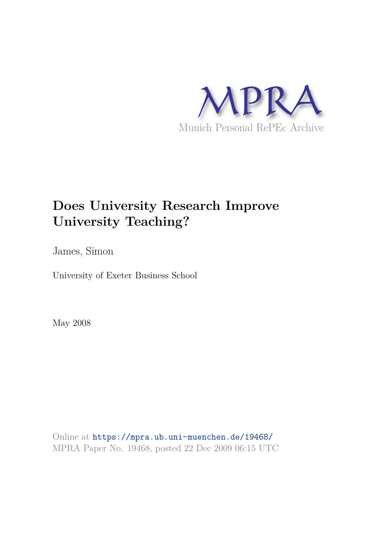

# **Does University Research Improve University Teaching?**

James, Simon

University of Exeter Business School

May 2008

Online at https://mpra.ub.uni-muenchen.de/19468/ MPRA Paper No. 19468, posted 22 Dec 2009 06:15 UTC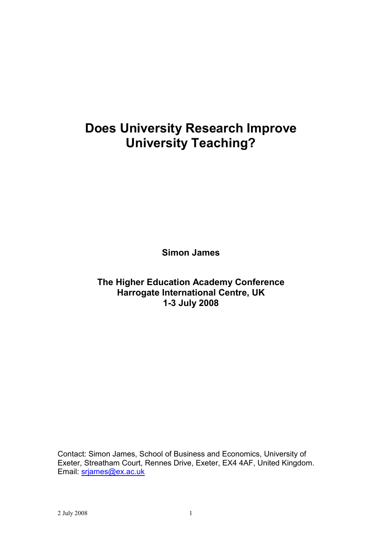# **Does University Research Improve University Teaching?**

**Simon James** 

The Higher Education Academy Conference Harrogate International Centre, UK 1-3 July 2008

Contact: Simon James, School of Business and Economics, University of Exeter, Streatham Court, Rennes Drive, Exeter, EX4 4AF, United Kingdom. Email: srjames@ex.ac.uk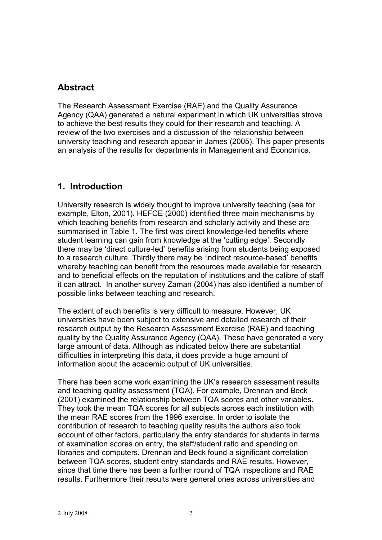# **Abstract**

The Research Assessment Exercise (RAE) and the Quality Assurance Agency (QAA) generated a natural experiment in which UK universities strove to achieve the best results they could for their research and teaching. A review of the two exercises and a discussion of the relationship between university teaching and research appear in James (2005). This paper presents an analysis of the results for departments in Management and Economics.

# 1. Introduction

University research is widely thought to improve university teaching (see for example, Elton, 2001). HEFCE (2000) identified three main mechanisms by which teaching benefits from research and scholarly activity and these are summarised in Table 1. The first was direct knowledge-led benefits where student learning can gain from knowledge at the 'cutting edge'. Secondly there may be 'direct culture-led' benefits arising from students being exposed to a research culture. Thirdly there may be 'indirect resource-based' benefits whereby teaching can benefit from the resources made available for research and to beneficial effects on the reputation of institutions and the calibre of staff it can attract. In another survey Zaman (2004) has also identified a number of possible links between teaching and research.

The extent of such benefits is very difficult to measure. However, UK universities have been subject to extensive and detailed research of their research output by the Research Assessment Exercise (RAE) and teaching quality by the Quality Assurance Agency (QAA). These have generated a very large amount of data. Although as indicated below there are substantial difficulties in interpreting this data, it does provide a huge amount of information about the academic output of UK universities.

There has been some work examining the UK's research assessment results and teaching quality assessment (TQA). For example, Drennan and Beck (2001) examined the relationship between TQA scores and other variables. They took the mean TQA scores for all subjects across each institution with the mean RAE scores from the 1996 exercise. In order to isolate the contribution of research to teaching quality results the authors also took account of other factors, particularly the entry standards for students in terms of examination scores on entry, the staff/student ratio and spending on libraries and computers. Drennan and Beck found a significant correlation between TQA scores, student entry standards and RAE results. However. since that time there has been a further round of TQA inspections and RAE results. Furthermore their results were general ones across universities and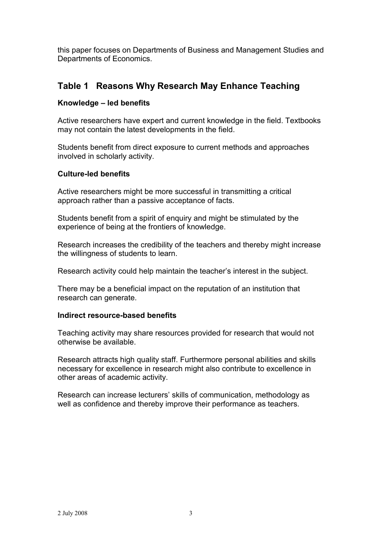this paper focuses on Departments of Business and Management Studies and Departments of Economics.

# Table 1 Reasons Why Research May Enhance Teaching

## Knowledge - led benefits

Active researchers have expert and current knowledge in the field. Textbooks may not contain the latest developments in the field.

Students benefit from direct exposure to current methods and approaches involved in scholarly activity.

### **Culture-led benefits**

Active researchers might be more successful in transmitting a critical approach rather than a passive acceptance of facts.

Students benefit from a spirit of enquiry and might be stimulated by the experience of being at the frontiers of knowledge.

Research increases the credibility of the teachers and thereby might increase the willingness of students to learn.

Research activity could help maintain the teacher's interest in the subject.

There may be a beneficial impact on the reputation of an institution that research can generate.

### Indirect resource-based benefits

Teaching activity may share resources provided for research that would not otherwise be available

Research attracts high quality staff. Furthermore personal abilities and skills necessary for excellence in research might also contribute to excellence in other areas of academic activity.

Research can increase lecturers' skills of communication, methodology as well as confidence and thereby improve their performance as teachers.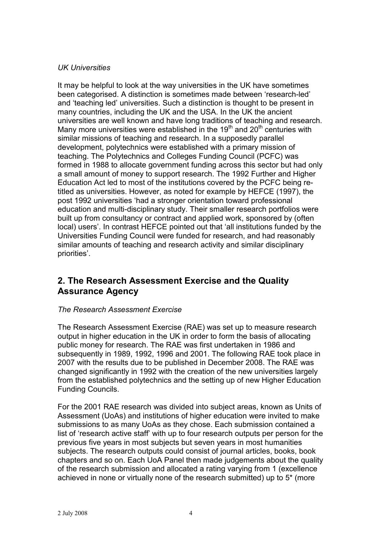## **UK Universities**

It may be helpful to look at the way universities in the UK have sometimes been categorised. A distinction is sometimes made between 'research-led' and 'teaching led' universities. Such a distinction is thought to be present in many countries, including the UK and the USA. In the UK the ancient universities are well known and have long traditions of teaching and research. Many more universities were established in the 19<sup>th</sup> and 20<sup>th</sup> centuries with similar missions of teaching and research. In a supposedly parallel development, polytechnics were established with a primary mission of teaching. The Polytechnics and Colleges Funding Council (PCFC) was formed in 1988 to allocate government funding across this sector but had only a small amount of money to support research. The 1992 Further and Higher Education Act led to most of the institutions covered by the PCFC being retitled as universities. However, as noted for example by HEFCE (1997), the post 1992 universities 'had a stronger orientation toward professional education and multi-disciplinary study. Their smaller research portfolios were built up from consultancy or contract and applied work, sponsored by (often local) users'. In contrast HEFCE pointed out that 'all institutions funded by the Universities Funding Council were funded for research, and had reasonably similar amounts of teaching and research activity and similar disciplinary priorities'.

# 2. The Research Assessment Exercise and the Quality **Assurance Agency**

## The Research Assessment Exercise

The Research Assessment Exercise (RAE) was set up to measure research output in higher education in the UK in order to form the basis of allocating public money for research. The RAE was first undertaken in 1986 and subsequently in 1989, 1992, 1996 and 2001. The following RAE took place in 2007 with the results due to be published in December 2008. The RAE was changed significantly in 1992 with the creation of the new universities largely from the established polytechnics and the setting up of new Higher Education **Funding Councils.** 

For the 2001 RAE research was divided into subject areas, known as Units of Assessment (UoAs) and institutions of higher education were invited to make submissions to as many UoAs as they chose. Each submission contained a list of 'research active staff' with up to four research outputs per person for the previous five years in most subjects but seven years in most humanities subjects. The research outputs could consist of journal articles, books, book chapters and so on. Each UoA Panel then made judgements about the quality of the research submission and allocated a rating varying from 1 (excellence achieved in none or virtually none of the research submitted) up to 5<sup>\*</sup> (more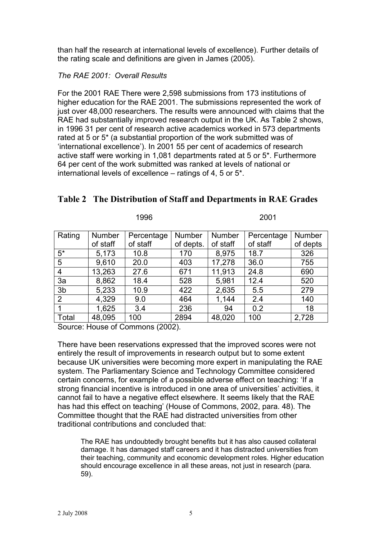than half the research at international levels of excellence). Further details of the rating scale and definitions are given in James (2005).

## The RAF  $2001 \cdot$  Overall Results

For the 2001 RAE There were 2.598 submissions from 173 institutions of higher education for the RAE 2001. The submissions represented the work of just over 48,000 researchers. The results were announced with claims that the RAE had substantially improved research output in the UK. As Table 2 shows, in 1996 31 per cent of research active academics worked in 573 departments rated at 5 or 5<sup>\*</sup> (a substantial proportion of the work submitted was of 'international excellence'). In 2001 55 per cent of academics of research active staff were working in 1,081 departments rated at 5 or 5<sup>\*</sup>. Furthermore 64 per cent of the work submitted was ranked at levels of national or international levels of excellence – ratings of 4, 5 or 5<sup>\*</sup>.

|                | .             |            |           | ---           |            |               |
|----------------|---------------|------------|-----------|---------------|------------|---------------|
|                |               |            |           |               |            |               |
| Rating         | <b>Number</b> | Percentage | Number    | <b>Number</b> | Percentage | <b>Number</b> |
|                | of staff      | of staff   | of depts. | of staff      | of staff   | of depts      |
| $5*$           | 5,173         | 10.8       | 170       | 8,975         | 18.7       | 326           |
| 5              | 9,610         | 20.0       | 403       | 17,278        | 36.0       | 755           |
| 4              | 13,263        | 27.6       | 671       | 11,913        | 24.8       | 690           |
| 3a             | 8,862         | 18.4       | 528       | 5,981         | 12.4       | 520           |
| 3 <sub>b</sub> | 5,233         | 10.9       | 422       | 2,635         | 5.5        | 279           |
| 2              | 4,329         | 9.0        | 464       | 1,144         | 2.4        | 140           |
|                | 1,625         | 3.4        | 236       | 94            | 0.2        | 18            |
| Total          | 48,095        | 100        | 2894      | 48,020        | 100        | 2,728         |

## Table 2 The Distribution of Staff and Departments in RAE Grades

 $2001$ 

Source: House of Commons (2002).

 $1006$ 

There have been reservations expressed that the improved scores were not entirely the result of improvements in research output but to some extent because UK universities were becoming more expert in manipulating the RAE system. The Parliamentary Science and Technology Committee considered certain concerns, for example of a possible adverse effect on teaching: 'If a strong financial incentive is introduced in one area of universities' activities, it cannot fail to have a negative effect elsewhere. It seems likely that the RAE has had this effect on teaching' (House of Commons, 2002, para. 48). The Committee thought that the RAE had distracted universities from other traditional contributions and concluded that:

The RAE has undoubtedly brought benefits but it has also caused collateral damage. It has damaged staff careers and it has distracted universities from their teaching, community and economic development roles. Higher education should encourage excellence in all these areas, not just in research (para.  $59$ ).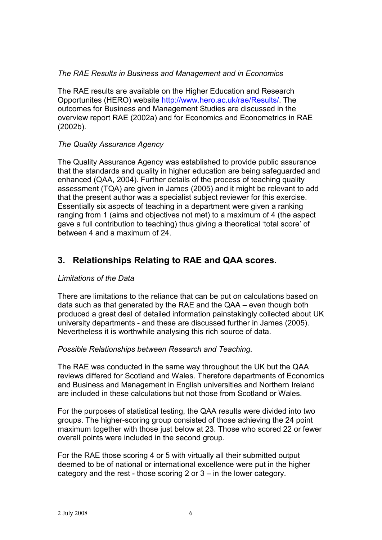## The RAE Results in Business and Management and in Economics

The RAE results are available on the Higher Education and Research Opportunites (HERO) website http://www.hero.ac.uk/rae/Results/. The outcomes for Business and Management Studies are discussed in the overview report RAE (2002a) and for Economics and Econometrics in RAE  $(2002b).$ 

### The Quality Assurance Agency

The Quality Assurance Agency was established to provide public assurance that the standards and quality in higher education are being safequarded and enhanced (QAA, 2004). Further details of the process of teaching quality assessment (TQA) are given in James (2005) and it might be relevant to add that the present author was a specialist subject reviewer for this exercise. Essentially six aspects of teaching in a department were given a ranking ranging from 1 (aims and objectives not met) to a maximum of 4 (the aspect gave a full contribution to teaching) thus giving a theoretical 'total score' of between 4 and a maximum of 24.

# 3. Relationships Relating to RAE and QAA scores.

### Limitations of the Data

There are limitations to the reliance that can be put on calculations based on data such as that generated by the RAE and the QAA – even though both produced a great deal of detailed information painstakingly collected about UK university departments - and these are discussed further in James (2005). Nevertheless it is worthwhile analysing this rich source of data.

### Possible Relationships between Research and Teaching.

The RAE was conducted in the same way throughout the UK but the QAA reviews differed for Scotland and Wales. Therefore departments of Economics and Business and Management in English universities and Northern Ireland are included in these calculations but not those from Scotland or Wales.

For the purposes of statistical testing, the QAA results were divided into two groups. The higher-scoring group consisted of those achieving the 24 point maximum together with those just below at 23. Those who scored 22 or fewer overall points were included in the second group.

For the RAE those scoring 4 or 5 with virtually all their submitted output deemed to be of national or international excellence were put in the higher category and the rest - those scoring 2 or  $3 - in$  the lower category.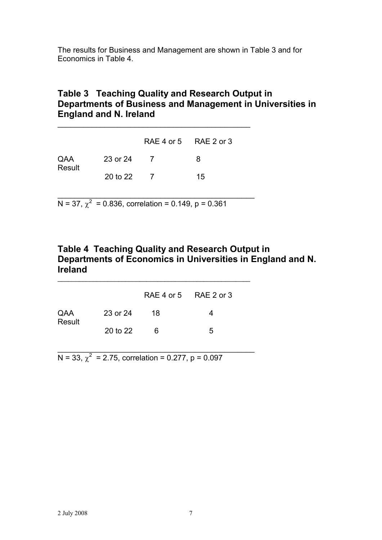The results for Business and Management are shown in Table 3 and for Economics in Table 4.

## Table 3 Teaching Quality and Research Output in Departments of Business and Management in Universities in **England and N. Ireland**

|               |          | RAE 4 or 5 RAE 2 or 3 |    |
|---------------|----------|-----------------------|----|
| QAA<br>Result | 23 or 24 | $\overline{7}$        | 8  |
|               | 20 to 22 |                       | 15 |

GGGGGGGGGGGGGGGGGGGGGGGGGGGGGGGGGGGGGGGGGGGGG

N = 37,  $\chi^2$  = 0.836, correlation = 0.149, p = 0.361

GGGGGGGGGGGGGGGGGGGGGGGGGGGGGGGGGGGGGGGGGGGGGG

## Table 4 Teaching Quality and Research Output in Departments of Economics in Universities in England and N. **lreland**

|               |          | RAE 4 or 5 RAE 2 or 3 |   |
|---------------|----------|-----------------------|---|
| QAA<br>Result | 23 or 24 | -18                   | 4 |
|               | 20 to 22 | 6                     | 5 |

GGGGGGGGGGGGGGGGGGGGGGGGGGGGGGGGGGGGGGGGGGGGGG

GGGGGGGGGGGGGGGGGGGGGGGGGGGGGGGGGGGGGGGGGGGGGGGGGGGGGG

N = 33,  $\chi^2$  = 2.75, correlation = 0.277, p = 0.097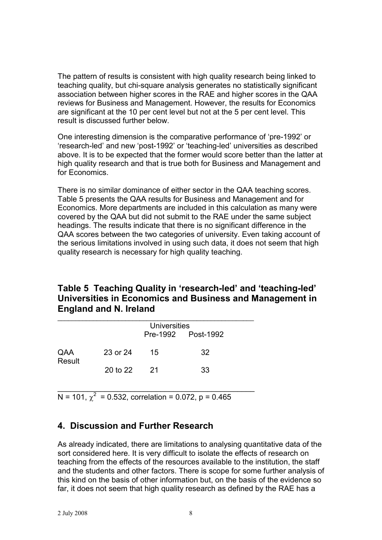The pattern of results is consistent with high quality research being linked to teaching quality, but chi-square analysis generates no statistically significant association between higher scores in the RAE and higher scores in the QAA reviews for Business and Management. However, the results for Economics are significant at the 10 per cent level but not at the 5 per cent level. This result is discussed further below.

One interesting dimension is the comparative performance of 'pre-1992' or 'research-led' and new 'post-1992' or 'teaching-led' universities as described above. It is to be expected that the former would score better than the latter at high quality research and that is true both for Business and Management and for Economics.

There is no similar dominance of either sector in the QAA teaching scores. Table 5 presents the QAA results for Business and Management and for Economics. More departments are included in this calculation as many were covered by the QAA but did not submit to the RAE under the same subject headings. The results indicate that there is no significant difference in the QAA scores between the two categories of university. Even taking account of the serious limitations involved in using such data, it does not seem that high quality research is necessary for high quality teaching.

# Table 5 Teaching Quality in 'research-led' and 'teaching-led' Universities in Economics and Business and Management in **England and N. Ireland**

|               |          | Universities |                    |  |  |
|---------------|----------|--------------|--------------------|--|--|
|               |          |              | Pre-1992 Post-1992 |  |  |
| QAA<br>Result | 23 or 24 | 15           | 32                 |  |  |
|               | 20 to 22 | -21          | 33                 |  |  |

 $N = 101$ ,  $\chi^2 = 0.532$ , correlation = 0.072, p = 0.465

# 4. Discussion and Further Research

As already indicated, there are limitations to analysing quantitative data of the sort considered here. It is very difficult to isolate the effects of research on teaching from the effects of the resources available to the institution, the staff and the students and other factors. There is scope for some further analysis of this kind on the basis of other information but, on the basis of the evidence so far, it does not seem that high quality research as defined by the RAE has a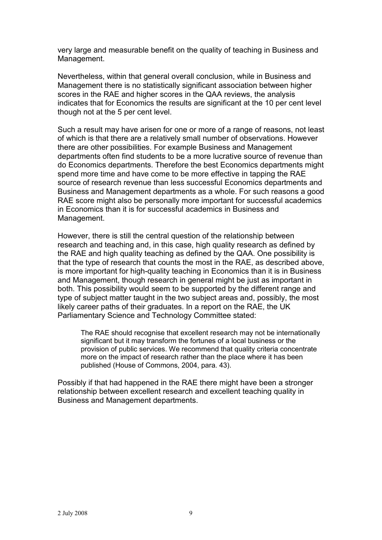very large and measurable benefit on the quality of teaching in Business and Management.

Nevertheless, within that general overall conclusion, while in Business and Management there is no statistically significant association between higher scores in the RAE and higher scores in the QAA reviews, the analysis indicates that for Economics the results are significant at the 10 per cent level though not at the 5 per cent level.

Such a result may have arisen for one or more of a range of reasons, not least of which is that there are a relatively small number of observations. However there are other possibilities. For example Business and Management departments often find students to be a more lucrative source of revenue than do Economics departments. Therefore the best Economics departments might spend more time and have come to be more effective in tapping the RAE source of research revenue than less successful Economics departments and Business and Management departments as a whole. For such reasons a good RAE score might also be personally more important for successful academics in Economics than it is for successful academics in Business and Management.

However, there is still the central question of the relationship between research and teaching and, in this case, high quality research as defined by the RAE and high quality teaching as defined by the QAA. One possibility is that the type of research that counts the most in the RAE, as described above, is more important for high-quality teaching in Economics than it is in Business and Management, though research in general might be just as important in both. This possibility would seem to be supported by the different range and type of subject matter taught in the two subject areas and, possibly, the most likely career paths of their graduates. In a report on the RAE, the UK Parliamentary Science and Technology Committee stated:

The RAE should recognise that excellent research may not be internationally significant but it may transform the fortunes of a local business or the provision of public services. We recommend that quality criteria concentrate more on the impact of research rather than the place where it has been published (House of Commons, 2004, para. 43).

Possibly if that had happened in the RAE there might have been a stronger relationship between excellent research and excellent teaching quality in Business and Management departments.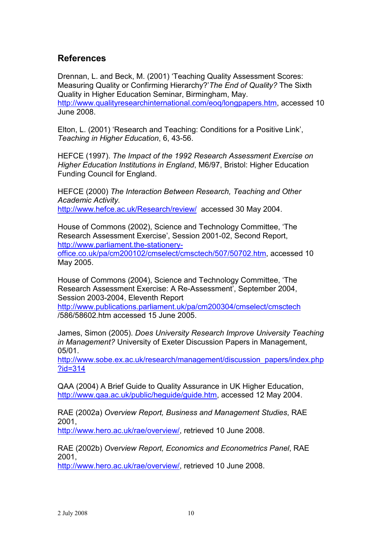# **References**

Drennan, L. and Beck, M. (2001) 'Teaching Quality Assessment Scores: Measuring Quality or Confirming Hierarchy?' The End of Quality? The Sixth Quality in Higher Education Seminar, Birmingham, May. http://www.qualityresearchinternational.com/eog/longpapers.htm, accessed 10 June 2008

Elton, L. (2001) 'Research and Teaching: Conditions for a Positive Link', Teaching in Higher Education, 6, 43-56.

HEFCE (1997). The Impact of the 1992 Research Assessment Exercise on Higher Education Institutions in England, M6/97, Bristol: Higher Education Funding Council for England.

HEFCE (2000) The Interaction Between Research, Teaching and Other **Academic Activity.** http://www.hefce.ac.uk/Research/review/ accessed 30 May 2004.

House of Commons (2002), Science and Technology Committee, 'The Research Assessment Exercise', Session 2001-02, Second Report, http://www.parliament.the-stationeryoffice.co.uk/pa/cm200102/cmselect/cmsctech/507/50702.htm, accessed 10 May 2005.

House of Commons (2004), Science and Technology Committee, 'The Research Assessment Exercise: A Re-Assessment', September 2004, Session 2003-2004, Eleventh Report

http://www.publications.parliament.uk/pa/cm200304/cmselect/cmsctech /586/58602.htm accessed 15 June 2005.

James, Simon (2005). Does University Research Improve University Teaching in Management? University of Exeter Discussion Papers in Management,  $05/01$ .

http://www.sobe.ex.ac.uk/research/management/discussion papers/index.php  $?$ id=314

QAA (2004) A Brief Guide to Quality Assurance in UK Higher Education, http://www.qaa.ac.uk/public/heguide/guide.htm, accessed 12 May 2004.

RAE (2002a) Overview Report, Business and Management Studies, RAE 2001.

http://www.hero.ac.uk/rae/overview/, retrieved 10 June 2008.

RAE (2002b) Overview Report. Economics and Econometrics Panel. RAE 2001.

http://www.hero.ac.uk/rae/overview/, retrieved 10 June 2008.